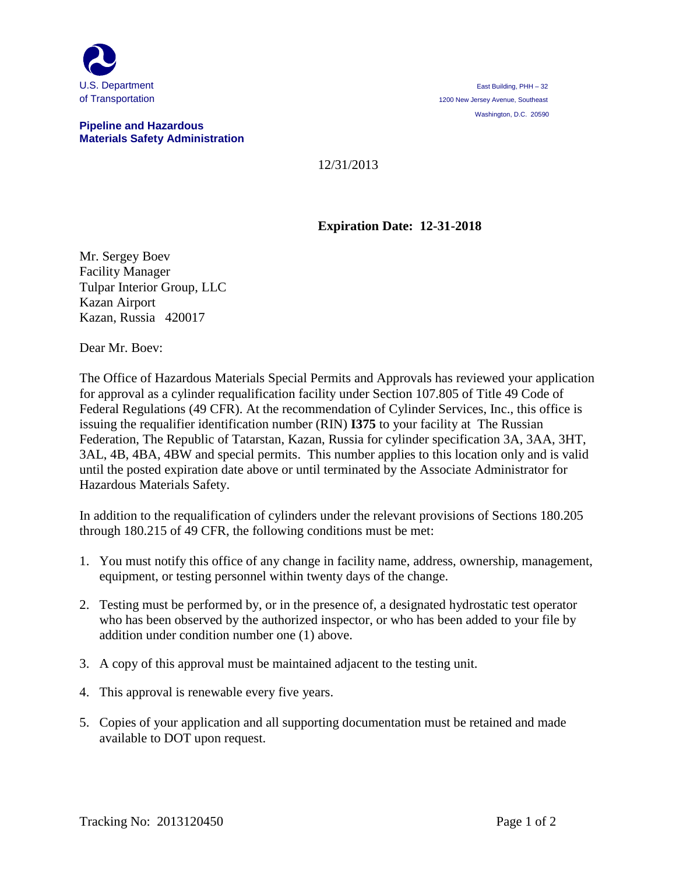

## **Pipeline and Hazardous Materials Safety Administration**

## 12/31/2013

## **Expiration Date: 12-31-2018**

Mr. Sergey Boev Facility Manager Tulpar Interior Group, LLC Kazan Airport Kazan, Russia 420017

Dear Mr. Boev:

The Office of Hazardous Materials Special Permits and Approvals has reviewed your application for approval as a cylinder requalification facility under Section 107.805 of Title 49 Code of Federal Regulations (49 CFR). At the recommendation of Cylinder Services, Inc., this office is issuing the requalifier identification number (RIN) **I375** to your facility at The Russian Federation, The Republic of Tatarstan, Kazan, Russia for cylinder specification 3A, 3AA, 3HT, 3AL, 4B, 4BA, 4BW and special permits. This number applies to this location only and is valid until the posted expiration date above or until terminated by the Associate Administrator for Hazardous Materials Safety.

In addition to the requalification of cylinders under the relevant provisions of Sections 180.205 through 180.215 of 49 CFR, the following conditions must be met:

- 1. You must notify this office of any change in facility name, address, ownership, management, equipment, or testing personnel within twenty days of the change.
- 2. Testing must be performed by, or in the presence of, a designated hydrostatic test operator who has been observed by the authorized inspector, or who has been added to your file by addition under condition number one (1) above.
- 3. A copy of this approval must be maintained adjacent to the testing unit.
- 4. This approval is renewable every five years.
- 5. Copies of your application and all supporting documentation must be retained and made available to DOT upon request.